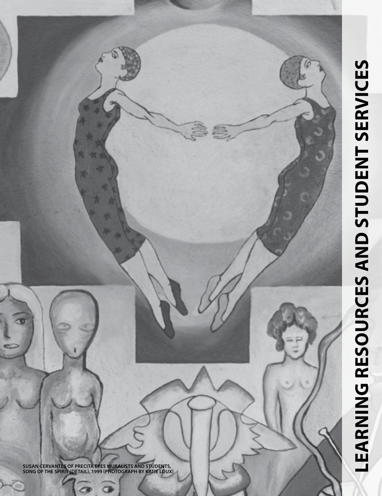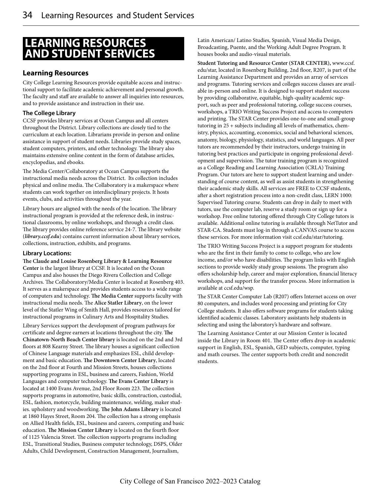# **LEARNING RESOURCES AND STUDENT SERVICES**

## **Learning Resources**

City College Learning Resources provide equitable access and instructional support to facilitate academic achievement and personal growth. The faculty and staff are available to answer all inquiries into resources, and to provide assistance and instruction in their use.

## **The College Library**

CCSF provides library services at Ocean Campus and all centers throughout the District. Library collections are closely tied to the curriculum at each location. Librarians provide in-person and online assistance in support of student needs. Libraries provide study spaces, student computers, printers, and other technology. The library also maintains extensive online content in the form of database articles, encyclopedias, and ebooks.

The Media Center/Collaboratory at Ocean Campus supports the instructional media needs across the District. Its collection includes physical and online media. The Collaboratory is a makerspace where students can work together on interdisciplinary projects. It hosts events, clubs, and activities throughout the year.

Library hours are aligned with the needs of the location. The library instructional program is provided at the reference desk, in instructional classrooms, by online workshops, and through a credit class. The library provides online reference service 24-7. The library website (*library.ccsf.edu*) contains current information about library services, collections, instruction, exhibits, and programs.

## **Library Locations:**

**The Claude and Louise Rosenberg Library & Learning Resource Center** is the largest library at CCSF. It is located on the Ocean Campus and also houses the Diego Rivera Collection and College Archives. The Collaboratory/Media Center is located at Rosenberg 403. It serves as a makerspace and provides students access to a wide range of computers and technology. **The Media Center** supports faculty with instructional media needs. The **Alice Statler Library**, on the lower level of the Statler Wing of Smith Hall, provides resources tailored for instructional programs in Culinary Arts and Hospitality Studies.

Library Services support the development of program pathways for certificate and degree earners at locations throughout the city. **The Chinatown-North Beach Center library** is located on the 2nd and 3rd floors at 808 Kearny Street. The library houses a significant collection of Chinese Language materials and emphasizes ESL, child development and basic education. **The Downtown Center Library**, located on the 2nd floor at Fourth and Mission Streets, houses collections supporting programs in ESL, business and careers, Fashion, World Languages and computer technology. **The Evans Center Library** is located at 1400 Evans Avenue, 2nd Floor Room 223. The collection supports programs in automotive, basic skills, construction, custodial, ESL, fashion, motorcycle, building maintenance, welding, maker studies. upholstery and woodworking. **The John Adams Library** is located at 1860 Hayes Street, Room 204. The collection has a strong emphasis on Allied Health fields, ESL, business and careers, computing and basic education. **The Mission Center Library** is located on the fourth floor of 1125 Valencia Street. The collection supports programs including ESL, Transitional Studies, Business computer technology, DSPS, Older Adults, Child Development, Construction Management, Journalism,

Latin American/ Latino Studies, Spanish, Visual Media Design, Broadcasting, Puente, and the Working Adult Degree Program. It houses books and audio-visual materials.

**Student Tutoring and Resource Center (STAR CENTER),** www.ccsf. edu/star, located in Rosenberg Building, 2nd floor, R207, is part of the Learning Assistance Department and provides an array of services and programs. Tutoring services and colleges success classes are available in-person and online. It is designed to support student success by providing collaborative, equitable, high-quality academic support, such as peer and professional tutoring, college success courses, workshops, a TRIO Writing Success Project and access to computers and printing. The STAR Center provides one-to-one and small-group tutoring in 25 + subjects including all levels of mathematics, chemistry, physics, accounting, economics, social and behavioral sciences, anatomy, biology, physiology, statistics, and world languages. All peer tutors are recommended by their instructors, undergo training in tutoring best practices and participate in ongoing professional development and supervision. The tutor training program is recognized as a College Reading and Learning Association (CRLA) Training Program. Our tutors are here to support student learning and understanding of course content, as well as assist students in strengthening their academic study skills. All services are FREE to CCSF students, after a short registration process into a non-credit class, LERN 1000: Supervised Tutoring course. Students can drop in daily to meet with tutors, use the computer lab, reserve a study room or sign up for a workshop. Free online tutoring offered through City College tutors is available. Additional online tutoring is available through NetTutor and STAR-CA. Students must log-in through a CANVAS course to access these services. For more information visit ccsf.edu/star/tutoring.

The TRIO Writing Success Project is a support program for students who are the first in their family to come to college, who are low income, and/or who have disabilities. The program links with English sections to provide weekly study group sessions. The program also offers scholarship help, career and major exploration, financial literacy workshops, and support for the transfer process. More information is available at ccsf.edu/wsp.

The STAR Center Computer Lab (R207) offers Internet access on over 80 computers, and includes word processing and printing for City College students. It also offers software programs for students taking identified academic classes. Laboratory assistants help students in selecting and using the laboratory's hardware and software.

The Learning Assistance Center at our Mission Center is located inside the Library in Room 401. The Center offers drop-in academic support in English, ESL, Spanish, GED subjects, computer, typing and math courses. The center supports both credit and noncredit students.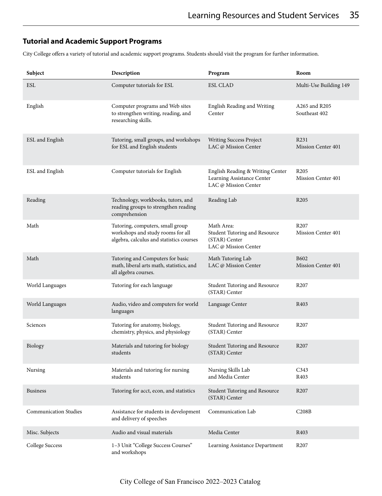## **Tutorial and Academic Support Programs**

City College offers a variety of tutorial and academic support programs. Students should visit the program for further information.

| Subject                      | Description                                                                                                       | Program                                                                                | Room                                   |
|------------------------------|-------------------------------------------------------------------------------------------------------------------|----------------------------------------------------------------------------------------|----------------------------------------|
| <b>ESL</b>                   | Computer tutorials for ESL                                                                                        | <b>ESL CLAD</b>                                                                        | Multi-Use Building 149                 |
| English                      | Computer programs and Web sites<br>to strengthen writing, reading, and<br>researching skills.                     | English Reading and Writing<br>Center                                                  | A265 and R205<br>Southeast 402         |
| ESL and English              | Tutoring, small groups, and workshops<br>for ESL and English students                                             | Writing Success Project<br>LAC @ Mission Center                                        | R <sub>231</sub><br>Mission Center 401 |
| ESL and English              | Computer tutorials for English                                                                                    | English Reading & Writing Center<br>Learning Assistance Center<br>LAC @ Mission Center | R <sub>205</sub><br>Mission Center 401 |
| Reading                      | Technology, workbooks, tutors, and<br>reading groups to strengthen reading<br>comprehension                       | Reading Lab                                                                            | R <sub>205</sub>                       |
| Math                         | Tutoring, computers, small group<br>workshops and study rooms for all<br>algebra, calculus and statistics courses | Math Area:<br>Student Tutoring and Resource<br>(STAR) Center<br>LAC @ Mission Center   | R <sub>207</sub><br>Mission Center 401 |
| Math                         | Tutoring and Computers for basic<br>math, liberal arts math, statistics, and<br>all algebra courses.              | Math Tutoring Lab<br>LAC @ Mission Center                                              | <b>B602</b><br>Mission Center 401      |
| World Languages              | Tutoring for each language                                                                                        | Student Tutoring and Resource<br>(STAR) Center                                         | R <sub>207</sub>                       |
| World Languages              | Audio, video and computers for world<br>languages                                                                 | Language Center                                                                        | R <sub>40</sub> 3                      |
| Sciences                     | Tutoring for anatomy, biology,<br>chemistry, physics, and physiology                                              | <b>Student Tutoring and Resource</b><br>(STAR) Center                                  | R <sub>207</sub>                       |
| Biology                      | Materials and tutoring for biology<br>students                                                                    | Student Tutoring and Resource<br>(STAR) Center                                         | R <sub>207</sub>                       |
| Nursing                      | Materials and tutoring for nursing<br>students                                                                    | Nursing Skills Lab<br>and Media Center                                                 | C343<br>R403                           |
| <b>Business</b>              | Tutoring for acct, econ, and statistics                                                                           | Student Tutoring and Resource<br>(STAR) Center                                         | R <sub>207</sub>                       |
| <b>Communication Studies</b> | Assistance for students in development<br>and delivery of speeches                                                | Communication Lab                                                                      | C208B                                  |
| Misc. Subjects               | Audio and visual materials                                                                                        | Media Center                                                                           | R403                                   |
| College Success              | 1-3 Unit "College Success Courses"<br>and workshops                                                               | Learning Assistance Department                                                         | R <sub>207</sub>                       |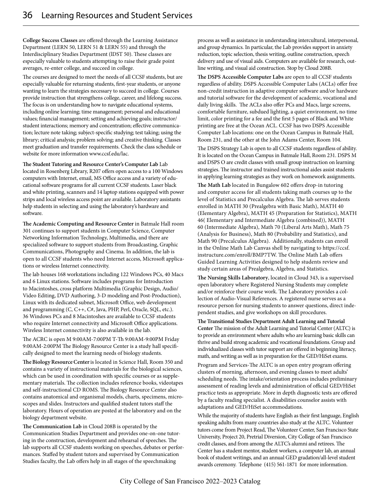**College Success Classes** are offered through the Learning Assistance Department (LERN 50, LERN 51 & LERN 55) and through the Interdisciplinary Studies Department (lDST 50). These classes are especially valuable to students attempting to raise their grade point averages, re-enter college, and succeed in college.

The courses are designed to meet the needs of all CCSF students, but are especially valuable for returning students, first-year students, or anyone wanting to learn the strategies necessary to succeed in college. Courses provide instruction that strengthens college, career, and lifelong success. The focus is on understanding how to navigate educational systems, including online learning; time management; personal and educational values; financial management; setting and achieving goals; instructor/ student interactions; memory and concentration; effective communication; lecture note taking; subject-specific studying; test taking; using the library; critical analysis; problem solving; and creative thinking. Classes meet graduation and transfer requirements. Check the class schedule or website for more information www.ccsf.edu/lac.

**The Student Tutoring and Resource Center's Computer Lab** Lab located in Rosenberg Library, R207 offers open access to a 100 Windows computers with Internet, email, MS Office access and a variety of educational software programs for all current CCSF students. Laser black and white printing, scanners and 14 laptop stations equipped with power strips and local wireless access point are available. Laboratory assistants help students in selecting and using the laboratory's hardware and software.

**The Academic Computing and Resource Center** in Batmale Hall room 301 continues to support students in Computer Science, Computer Networking Information Technology, Multimedia, and there are specialized software to support students from Broadcasting, Graphic Communications, Photography and Cinema. In addition, the lab is open to all CCSF students who need Internet access, Microsoft applications or wireless Internet connectivity.

The lab houses 168 workstations including 122 Windows PCs, 40 Macs and 6 Linux stations. Software includes programs for Introduction to Macintoshes, cross platform Multimedia (Graphic Design, Audio/ Video Editing, DVD Authoring, 3-D modeling and Post-Production), Linux with its dedicated subnet, Microsoft Office, web development and programming (C, C++, C#, Java, PHP, Perl, Oracle, SQL, etc.). 36 Windows PCs and 8 Macintoshes are available to CCSF students who require Internet connectivity and Microsoft Office applications. Wireless Internet connectivity is also available in the lab.

The ACRC is open M 9:00AM-7:00PM T-Th 9:00AM-9:00PM Friday 9:00AM-2:00PM The Biology Resource Center is a study hall specifically designed to meet the learning needs of biology students.

**The Biology Resource Center** is located in Science Hall, Room 350 and contains a variety of instructional materials for the biological sciences, which can be used in coordination with specific courses or as supplementary materials. The collection includes reference books, videotapes and self-instructional CD ROMS. The Biology Resource Center also contains anatomical and organismal models, charts, specimens, microscopes and slides. Instructors and qualified student tutors staff the laboratory. Hours of operation are posted at the laboratory and on the biology department website.

**The Communication Lab** in Cloud 208B is operated by the Communication Studies Department and provides one-on-one tutoring in the construction, development and rehearsal of speeches. The lab supports all CCSF students working on speeches, debates or performances. Staffed by student tutors and supervised by Communication Studies faculty, the Lab offers help in all stages of the speechmaking

process as well as assistance in understanding intercultural, interpersonal, and group dynamics. In particular, the Lab provides support in anxiety reduction, topic selection, thesis writing, outline construction, speech delivery and use of visual aids. Computers are available for research, outline writing, and visual aid construction. Stop by Cloud 208B.

**The DSPS Accessible Computer Labs** are open to all CCSF students regardless of ability. DSPS Accessible Computer Labs (ACLs) offer free non-credit instruction in adaptive computer software and/or hardware and tutorial software for the development of academic, vocational and daily living skills. The ACLs also offer PCs and Macs, large screens, comfortable furniture, subdued lighting, a quiet environment, no time limit, color printing for a fee and the first 5 pages of Black and White printing are free at the Ocean ACL. CCSF has two DSPS Accessible Computer Lab locations: one on the Ocean Campus in Batmale Hall, Room 231, and the other at the John Adams Center, Room 104.

The DSPS Strategy Lab is open to all CCSF students regardless of ability. It is located on the Ocean Campus in Batmale Hall, Room 231. DSPS M and DSPS O are credit classes with small group instruction on learning strategies. The instructor and trained instructional aides assist students in applying learning strategies as they work on homework assignments.

**The Math Lab** located in Bungalow 602 offers drop-in tutoring and computer access for all students taking math courses up to the level of Statistics and Precalculus Algebra. The lab serves students enrolled in MATH 30 (Prealgebra with Basic Math), MATH 40 (Elementary Algebra), MATH 45 (Preparation for Statistics), MATH 46( Elementary and Intermediate Algebra (combined)), MATH 60 (Intermediate Algebra), Math 70 (Liberal Arts Math), Math 75 (Analysis for Business), Math 80 (Probability and Statistics), and Math 90 (Precalculus Algebra). Additionally, students can enroll in the Online Math Lab Canvas shell by navigating to https://ccsf. instructure.com/enroll/BMP7TW. The Online Math Lab offers Guided Learning Activities designed to help students review and study certain areas of Prealgebra, Algebra, and Statistics.

**The Nursing Skills Laboratory**, located in Cloud 343, is a supervised open laboratory where Registered Nursing Students may complete and/or reinforce their course work. The Laboratory provides a collection of Audio-Visual References. A registered nurse serves as a resource person for nursing students to answer questions, direct independent studies, and give workshops on skill procedures.

**The Transitional Studies Department Adult Learning and Tutorial Center** The mission of the Adult Learning and Tutorial Center (ALTC) is to provide an environment where adults who are learning basic skills can thrive and build strong academic and vocational foundations. Group and individualized classes with tutor support are offered in beginning literacy, math, and writing as well as in preparation for the GED/HiSet exams.

Program and Services-The ALTC is an open entry program offering clusters of morning, afternoon, and evening classes to meet adults' scheduling needs. The intake/orientation process includes preliminary assessment of reading levels and administration of official GED/HiSet practice tests as appropriate. More in depth diagnostic tests are offered by a faculty reading specialist. A disabilities counselor assists with adaptations and GED/HiSet accommodations.

While the majority of students have English as their first language, English speaking adults from many countries also study at the ALTC. Volunteer tutors come from Project Read, The Volunteer Center, San Francisco State University, Project 20, Pretrial Diversion, City College of San Francisco credit classes, and from among the ALTC's alumni and retirees. The Center has a student mentor, student workers, a computer lab, an annual book of student writings, and an annual GED gradation/all-level student awards ceremony. Telephone (415) 561-1871 for more information.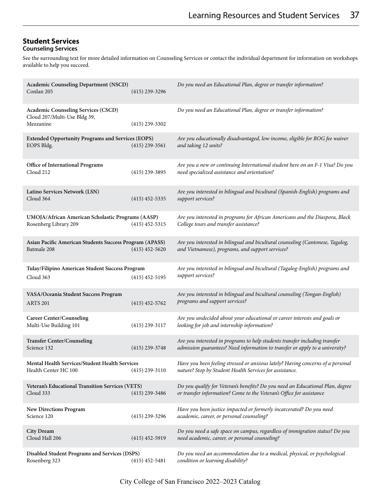## **Student Services Counseling Services**

See the surrounding text for more detailed information on Counseling Services or contact the individual department for information on workshops available to help you succeed.

| <b>Academic Counseling Department (NSCD)</b><br>Conlan 205                              | $(415)$ 239-3296 | Do you need an Educational Plan, degree or transfer information?                                                                                            |
|-----------------------------------------------------------------------------------------|------------------|-------------------------------------------------------------------------------------------------------------------------------------------------------------|
| <b>Academic Counseling Services (CSCD)</b><br>Cloud 207/Multi-Use Bldg 39,<br>Mezzanine | $(415)$ 239-3302 | Do you need an Educational Plan, degree or transfer information?                                                                                            |
| <b>Extended Opportunity Programs and Services (EOPS)</b><br>EOPS Bldg.                  | $(415)$ 239-3561 | Are you educationally disadvantaged, low income, eligible for BOG fee waiver<br>and taking 12 units?                                                        |
| Office of International Programs<br>Cloud 212                                           | $(415)$ 239-3895 | Are you a new or continuing International student here on an F-1 Visa? Do you<br>need specialized assistance and orientation?                               |
| Latino Services Network (LSN)<br>Cloud 364                                              | $(415)$ 452-5335 | Are you interested in bilingual and bicultural (Spanish-English) programs and<br>support services?                                                          |
| UMOJA/African American Scholastic Programs (AASP)<br>Rosenberg Library 209              | $(415)$ 452-5315 | Are you interested in programs for African Americans and the Diaspora, Black<br>College tours and transfer assistance?                                      |
| Asian Pacific American Students Success Program (APASS)<br>Batmale 208                  | $(415)$ 452-5620 | Are you interested in bilingual and bicultural counseling (Cantonese, Tagalog,<br>and Vietnamese), programs, and support services?                          |
| Tulay/Filipino American Student Success Program<br>Cloud 363                            | $(415)$ 452-5195 | Are you interested in bilingual and bicultural (Tagalog-English) programs and<br>support services?                                                          |
| VASA/Oceania Student Success Program<br><b>ARTS 201</b>                                 | $(415)$ 452-5762 | Are you interested in bilingual and bicultural counseling (Tongan-English)<br>programs and support services?                                                |
| <b>Career Center/Counseling</b><br>Multi-Use Building 101                               | $(415)$ 239-3117 | Are you undecided about your educational or career interests and goals or<br>looking for job and internship information?                                    |
| <b>Transfer Center/Counseling</b><br>Science 132                                        | $(415)$ 239-3748 | Are you interested in programs to help students transfer including transfer<br>admission guarantees? Need information to transfer or apply to a university? |
| Mental Health Services/Student Health Services<br>Health Center HC 100                  | $(415)$ 239-3110 | Have you been feeling stressed or anxious lately? Having concerns of a personal<br>nature? Stop by Student Health Services for assistance.                  |
| Veteran's Educational Transition Services (VETS)<br>Cloud 333                           | $(415)$ 239-3486 | Do you qualify for Veteran's benefits? Do you need an Educational Plan, degree<br>or transfer information? Come to the Veteran's Office for assistance      |
| <b>New Directions Program</b><br>Science 120                                            | $(415)$ 239-3296 | Have you been justice impacted or formerly incarcerated? Do you need<br>academic, career, or personal counseling?                                           |
| <b>City Dream</b><br>Cloud Hall 206                                                     | $(415)$ 452-5919 | Do you need a safe space on campus, regardless of immigration status? Do you<br>need academic, career, or personal counseling?                              |
| <b>Disabled Student Programs and Services (DSPS)</b><br>Rosenberg 323                   | $(415)$ 452-5481 | Do you need an accommodation due to a medical, physical, or psychological<br>condition or learning disability?                                              |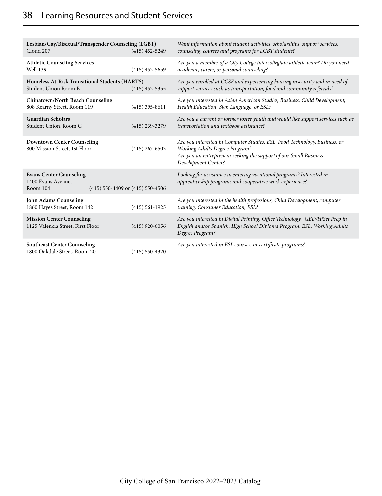| Lesbian/Gay/Bisexual/Transgender Counseling (LGBT)<br>Cloud 207                                      | $(415)$ 452-5249   | Want information about student activities, scholarships, support services,<br>counseling, courses and programs for LGBT students?                                                                               |
|------------------------------------------------------------------------------------------------------|--------------------|-----------------------------------------------------------------------------------------------------------------------------------------------------------------------------------------------------------------|
| <b>Athletic Counseling Services</b><br>Well 139                                                      | $(415)$ 452-5659   | Are you a member of a City College intercollegiate athletic team? Do you need<br>academic, career, or personal counseling?                                                                                      |
| Homeless At-Risk Transitional Students (HARTS)<br>Student Union Room B                               | $(415)$ 452-5355   | Are you enrolled at CCSF and experiencing housing insecurity and in need of<br>support services such as transportation, food and community referrals?                                                           |
| <b>Chinatown/North Beach Counseling</b><br>808 Kearny Street, Room 119                               | $(415)$ 395-8611   | Are you interested in Asian American Studies, Business, Child Development,<br>Health Education, Sign Language, or ESL?                                                                                          |
| <b>Guardian Scholars</b><br>Student Union, Room G                                                    | $(415)$ 239-3279   | Are you a current or former foster youth and would like support services such as<br>transportation and textbook assistance?                                                                                     |
| <b>Downtown Center Counseling</b><br>800 Mission Street, 1st Floor                                   | $(415)$ 267-6503   | Are you interested in Computer Studies, ESL, Food Technology, Business, or<br><b>Working Adults Degree Program?</b><br>Are you an entrepreneur seeking the support of our Small Business<br>Development Center? |
| <b>Evans Center Counseling</b><br>1400 Evans Avenue,<br>(415) 550-4409 or (415) 550-4506<br>Room 104 |                    | Looking for assistance in entering vocational programs? Interested in<br>apprenticeship programs and cooperative work experience?                                                                               |
| John Adams Counseling<br>1860 Hayes Street, Room 142                                                 | $(415) 561 - 1925$ | Are you interested in the health professions, Child Development, computer<br>training, Consumer Education, ESL?                                                                                                 |
| <b>Mission Center Counseling</b><br>1125 Valencia Street, First Floor                                | $(415)$ 920-6056   | Are you interested in Digital Printing, Office Technology, GED/HiSet Prep in<br>English and/or Spanish, High School Diploma Program, ESL, Working Adults<br>Degree Program?                                     |
| <b>Southeast Center Counseling</b><br>1800 Oakdale Street, Room 201                                  | $(415)$ 550-4320   | Are you interested in ESL courses, or certificate programs?                                                                                                                                                     |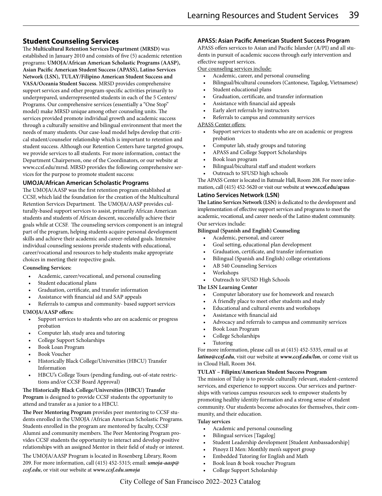## **Student Counseling Services**

The **Multicultural Retention Services Department (MRSD)** was established in January 2010 and consists of five (5) academic retention programs: **UMOJA/African American Scholastic Programs (AASP), Asian Pacific American Student Success (APASS), Latino Services Network (LSN), TULAY/Filipino American Student Success and VASA/Oceania Student Success**. MRSD provides comprehensive support services and other program-specific activities primarily to underprepared, underrepresented students in each of the 5 Centers/ Programs. Our comprehensive services (essentially a "One Stop" model) make MRSD unique among other counseling units. The services provided promote individual growth and academic success through a culturally sensitive and bilingual environment that meet the needs of many students. Our case-load model helps develop that critical student/counselor relationship which is important to retention and student success. Although our Retention Centers have targeted groups, we provide services to all students. For more information, contact the Department Chairperson, one of the Coordinators, or our website at www.ccsf.edu/mrsd. MRSD provides the following comprehensive services for the purpose to promote student success:

## **UMOJA/African American Scholastic Programs**

The UMOJA/AASP was the first retention program established at CCSF, which laid the foundation for the creation of the Multicultural Retention Services Department. The UMOJA/AASP provides culturally-based support services to assist, primarily African American students and students of African descent, successfully achieve their goals while at CCSF. The counseling services component is an integral part of the program, helping students acquire personal development skills and achieve their academic and career-related goals. Intensive individual counseling sessions provide students with educational, career/vocational and resources to help students make appropriate choices in meeting their respective goals.

## **Counseling Services:**

- Academic, career/vocational, and personal counseling
- Student educational plans
- Graduation, certificate, and transfer information
- Assistance with financial aid and SAP appeals
- Referrals to campus and community- based support services

## **UMOJA/AASP offers:**

- Support services to students who are on academic or progress probation
- Computer lab, study area and tutoring
- College Support Scholarships
- Book Loan Program
- Book Voucher
- Historically Black College/Universities (HBCU) Transfer Information
- HBCU's College Tours (pending funding, out-of-state restrictions and/or CCSF Board Approval)

## **The Historically Black College/Universities (HBCU) Transfer Program** is designed to provide CCSF students the opportunity to attend and transfer as a junior to a HBCU.

**The Peer Mentoring Program** provides peer mentoring to CCSF students enrolled in the UMOJA /African American Scholastic Programs. Students enrolled in the program are mentored by faculty, CCSF Alumni and community members. The Peer Mentoring Program provides CCSF students the opportunity to interact and develop positive relationships with an assigned Mentor in their field of study or interest.

The UMOJA/AASP Program is located in Rosenberg Library, Room 209. For more information, call (415) 452-5315; email: *umoja-aasp@ ccsf.edu*, or visit our website at *www.ccsf.edu.umoja*

## **APASS: Asian Pacific American Student Success Program**

APASS offers services to Asian and Pacific Islander (A/PI) and all students in pursuit of academic success through early intervention and effective support services.

Our counseling services include:

- Academic, career, and personal counseling
- Bilingual/bicultural counselors (Cantonese, Tagalog, Vietnamese)
- Student educational plans
- Graduation, certificate, and transfer information
- Assistance with financial aid appeals
- Early alert referrals by instructors
- Referrals to campus and community services

## APASS Center offers:

- Support services to students who are on academic or progress probation
- Computer lab, study groups and tutoring
- APASS and College Support Scholarships
- Book loan program
- Bilingual/bicultural staff and student workers
- Outreach to SFUSD high schools

The APASS Center is located in Batmale Hall, Room 208. For more information, call (415) 452-5620 or visit our website at **www.ccsf.edu/apass**

## **Latino Services Network (LSN)**

**The Latino Services Network (LSN)** is dedicated to the development and implementation of effective support services and programs to meet the academic, vocational, and career needs of the Latino student community. Our services include:

## **Bilingual (Spanish and English) Counseling**

- Academic, personal, and career
- Goal setting, educational plan development
- Graduation, certificate, and transfer information
- Bilingual (Spanish and English) college orientations
- AB 540 Counseling Services
- Workshops
- Outreach to SFUSD High Schools

## **The LSN Learning Center**

- Computer laboratory use for homework and research
- A friendly place to meet other students and study
- Educational and cultural events and workshops
- Assistance with financial aid
- Advocacy and referrals to campus and community services
- Book Loan Program
- College Scholarships
- **Tutoring**

For more information, please call us at (415) 452-5335, email us at *latino@ccsf.edu*, visit our website at *www.ccsf.edu/lsn*, or come visit us in Cloud Hall, Room 364.

## **TULAY – Filipinx/American Student Success Program**

The mission of Tulay is to provide culturally relevant, student-centered services, and experience to support success. Our services and partnerships with various campus resources seek to empower students by promoting healthy identity formation and a strong sense of student community. Our students become advocates for themselves, their community, and their education.

## **Tulay services**

- Academic and personal counseling
- Bilingual services [Tagalog]
- Student Leadership development [Student Ambassadorship]
- Pinoyz II Men: Monthly men's support group
- Embedded Tutoring for English and Math
- Book loan & book voucher Program
- College Support Scholarship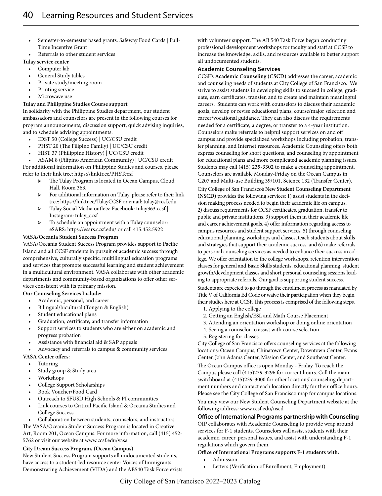- Semester-to-semester based grants: Safeway Food Cards | Full-Time Incentive Grant
- Referrals to other student services

## **Tulay service center**

- Computer lab
- General Study tables
- Private study/meeting room
- Printing service
- Microwave use

## **Tulay and Philippine Studies Course support**

In solidarity with the Philippine Studies department, our student ambassadors and counselors are present in the following courses for program announcements, discussion support, quick advising inquiries, and to schedule advising appointments.

- IDST 50 (College Success) | UC/CSU credit
- PHST 20 (The Filipino Family) | UC/CSU credit
- HIST 37 (Philippine History) | UC/CSU credit

• ASAM 8 (Filipino American Community) | UC/CSU credit For additional information on Philippine Studies and courses, please refer to their link tree: https://linktr.ee/PHSTccsf

- ➢ The Tulay Program is located in Ocean Campus, Cloud Hall, Room 363.
- ➢ For additional information on Tulay, please refer to their link tree: https://linktr.ee/TulayCCSF or email: tulay@ccsf.edu
- ➢ Tulay Social Media outlets: Facebook: tulay363.ccsf | Instagram: tulay\_ccsf
- ➢ To schedule an appointment with a Tulay counselor: eSARS: https://esars.ccsf.edu/ or call 415.452.5922

## **VASA/Oceania Student Success Program**

VASA/Oceania Student Success Program provides support to Pacific Island and all CCSF students in pursuit of academic success through comprehensive, culturally specific, multilingual education programs and services that promote successful learning and student achievement in a multicultural environment. VASA collaborate with other academic departments and community-based organizations to offer other services consistent with its primary mission.

## **Our Counseling Services Include:**

- Academic, personal, and career
- Bilingual/bicultural (Tongan & English)
- Student educational plans
- Graduation, certificate, and transfer information
- Support services to students who are either on academic and progress probation
- Assistance with financial aid & SAP appeals
- Advocacy and referrals to campus & community services

## **VASA Center offers:**

- **Tutoring**
- Study group & Study area
- Workshops
- College Support Scholarships
- Book Voucher/Food Card
- Outreach to SFUSD High Schools & PI communities
- Link courses to Critical Pacific Island & Oceania Studies and College Success
- Collaboration between students, counselors, and instructors The VASA/Oceania Student Success Program is located in Creative Art, Room 201, Ocean Campus. For more information, call (415) 452- 5762 or visit our website at www.ccsf.edu/vasa

## **City Dream Success Program, (Ocean Campus)**

New Student Success Program supports all undocumented students, have access to a student-led resource center Voices of Immigrants Demonstrating Achievement (VIDA) and the AB540 Task Force exists with volunteer support. The AB 540 Task Force began conducting professional development workshops for faculty and staff at CCSF to increase the knowledge, skills, and resources available to better support all undocumented students.

## **Academic Counseling Services**

CCSF's **Academic Counseling (CSCD)** addresses the career, academic and counseling needs of students at City College of San Francisco. We strive to assist students in developing skills to succeed in college, graduate, earn certificates, transfer, and to create and maintain meaningful careers. Students can work with counselors to discuss their academic goals, develop or revise educational plans, course/major selection and career/vocational guidance. They can also discuss the requirements needed for a certificate, a degree, or transfer to a 4-year institution. Counselors make referrals to helpful support services on and off campus and provide specialized workshops including probation, transfer planning, and Internet resources. Academic Counseling offers both express counseling for short questions, and counseling by appointment for educational plans and more complicated academic planning issues. Students may call (415) **239-3302** to make a counseling appointment. Counselors are available Monday-Friday on the Ocean Campus in C207 and Multi-use Building 39/101, Science 132 (Transfer Center). City College of San Francisco's **New Student Counseling Department (NSCD)** provides the following services: 1) assist students in the decision making process needed to begin their academic life on campus, 2) discuss requirements for CCSF certificates, graduation, transfer to public and private institutions, 3) support them in their academic life and career achievement goals, 4) offer information regarding access to campus resources and student support services, 5) through counseling, educational planning, workshops and classes, teach students about skills and strategies that support their academic success, and 6) make referrals to personal counseling services as needed to enhance their success in college. We offer orientation to the college workshops, retention intervention classes for general and Basic Skills students, educational planning, student growth/development classes and short personal counseling sessions leading to appropriate referrals. Our goal is supporting student success.

Students are expected to go through the enrollment process as mandated by Title V of California Ed Code or waive their participation when they begin their studies here at CCSF. This process is comprised of the following steps.

- 1. Applying to the college
- 2. Getting an English/ESL and Math Course Placement
- 3. Attending an orientation workshop or doing online orientation
- 4. Seeing a counselor to assist with course selection
- 5. Registering for classes

City College of San Francisco offers counseling services at the following locations: Ocean Campus, Chinatown Center, Downtown Center, Evans Center, John Adams Center, Mission Center, and Southeast Center.

The Ocean Campus office is open Monday - Friday. To reach the Campus please call (415)239-3296 for current hours. Call the main switchboard at (415)239-3000 for other locations' counseling department numbers and contact each location directly for their office hours. Please see the City College of San Francisco map for campus locations. You may view our New Student Counseling Department website at the following address: www.ccsf.edu/nscd

## **Office of International Programs partnership with Counseling**

OIP collaborates with Academic Counseling to provide wrap around services for F-1 students. Counselors will assist students with their academic, career, personal issues, and assist with understanding F-1 regulations which govern them.

## **Office of International Programs supports F-1 students with:**

- Admission
- Letters (Verification of Enrollment, Employment)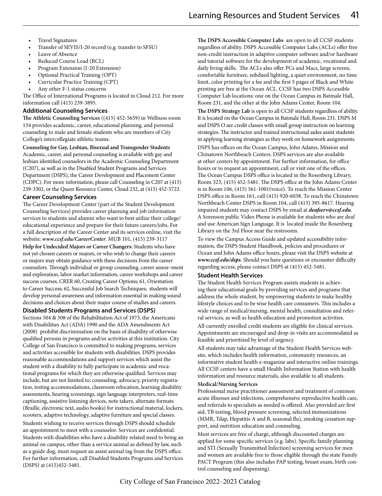- Travel Signatures
- Transfer of SEVIS/I-20 record (e.g. transfer to SFSU)
- Leave of Absence
- Reduced Course Load (RCL)
- Program Extension (I-20 Extension)
- Optional Practical Training (OPT)
- Curricular Practice Training (CPT)
- Any other F-1 status concerns

The Office of International Programs is located in Cloud 212. For more information call (415) 239-3895.

#### **Additional Counseling Services**

**The Athletic Counseling Services** ((415) 452-5659) in Wellness room 134 provides academic, career, educational planning, and personal counseling to male and female students who are members of City College's intercollegiate athletic teams.

**Counseling for Gay, Lesbian, Bisexual and Transgender Students** Academic, career, and personal counseling is available with gay and lesbian identified counselors in the Academic Counseling Department (C207), as well as in the Disabled Student Programs and Services Department (DSPS), the Career Development and Placement Center (CDPC). For more information, please call Counseling in C207 at (415) 239-3302, or the Queer Resource Center, Cloud 232, at (415) 452-5723.

## **Career Counseling Services**

The Career Development Center (part of the Student Development Counseling Services) provides career planning and job information services to students and alumni who want to best utilize their college/ educational experience and prepare for their future careers/jobs. For a full description of the Career Center and its services online, visit the website: *www.ccsf.edu/CareerCenter*. MUB 101, (415) 239-3117 **Help for Undecided Majors or Career Changers:** Students who have not yet chosen careers or majors, or who wish to change their careers or majors may obtain guidance with these decisions from the career counselors. Through individual or group counseling, career assess¬ment and exploration, labor market information, career workshops and career success courses, CRER 60, Creating Career Options; 61, Orientation to Career Success; 62, Successful Job Search Techniques; students will develop personal awareness and information essential in making sound decisions and choices about their major course of studies and careers.

## **Disabled Students Programs and Services (DSPS)**

Sections 504 & 508 of the Rehabilitation Act of 1973, the Americans with Disabilities Act (ADA) 1990 and the ADA Amendments Act (2008) prohibit discrimination on the basis of disability of otherwise qualified persons in programs and/or activities at this institution. City College of San Francisco is committed to making programs, services and activities accessible for students with disabilities. DSPS provides reasonable accommodations and support services which assist the student with a disability to fully participate in academic and vocational programs for which they are otherwise qualified. Services may include, but are not limited to; counseling, advocacy, priority registration, testing accommodations, classroom relocation, learning disability assessments, hearing screenings, sign language interpreters, real-time captioning, assistive listening devices, note takers, alternate formats (Braille, electronic text, audio books) for instructional material, lockers, scooters, adaptive technology, adaptive furniture and special classes.

Students wishing to receive services through DSPS should schedule an appointment to meet with a counselor. Services are confidential. Students with disabilities who have a disability related need to bring an animal on campus, other than a service animal as defined by law, such as a guide dog, must request an assist animal tag from the DSPS office. For further information, call Disabled Students Programs and Services (DSPS) at (415)452-5481.

**The DSPS Accessible Computer Labs** are open to all CCSF students regardless of ability. DSPS Accessible Computer Labs (ACLs) offer free non-credit instruction in adaptive computer software and/or hardware and tutorial software for the development of academic, vocational and daily living skills. The ACLs also offer PCs and Macs, large screens, comfortable furniture, subdued lighting, a quiet environment, no time limit, color printing for a fee and the first 5 pages of Black and White printing are free at the Ocean ACL. CCSF has two DSPS Accessible Computer Lab locations: one on the Ocean Campus in Batmale Hall, Room 231, and the other at the John Adams Center, Room 104.

**The DSPS Strategy Lab** is open to all CCSF students regardless of ability. It is located on the Ocean Campus in Batmale Hall, Room 231. DSPS M and DSPS O are credit classes with small group instruction on learning strategies. The instructor and trained instructional aides assist students in applying learning strategies as they work on homework assignments. DSPS has offices on the Ocean Campus, John Adams, Mission and Chinatown Northbeach Centers. DSPS services are also available at other centers by appointment. For further information, for office hours or to request an appointment, call or visit one of the offices. The Ocean Campus DSPS office is located in the Rosenberg Library, Room 323, (415) 452-5481. The DSPS office at the John Adams Center is in Room 106, (415) 561-1001(voice). To reach the Mission Center DSPS office in Room 161, call (415) 920-6038. To reach the Chinatown Northbeach Center DSPS in Room 104, call (415) 395-8617. Hearing impaired students may contact DSPS by email at *deafserv@ccsf.edu*. A Sorenson public Video Phone is available for students who are deaf

and use American Sign Language. It is located inside the Rosenberg Library on the 3rd Floor near the restrooms.

To view the Campus Access Guide and updated accessibility information, the DSPS Student Handbook, policies and procedures or Ocean and John Adams office hours, please visit the DSPS website at *www.ccsf.edu/dsps*. Should you have questions or encounter difficulty regarding access, please contact DSPS at (415) 452-5481.

#### **Student Health Services**

The Student Health Services Program assists students in achieving their educational goals by providing services and programs that address the whole student, by empowering students to make healthy lifestyle choices and to be wise health care consumers. This includes a wide range of medical/nursing, mental health, consultation and referral services, as well as health education and promotion activities.

All currently enrolled credit students are eligible for clinical services. Appointments are encouraged and drop-in visits are accommodated as feasible and prioritized by level of urgency.

All students may take advantage of the Student Health Services website, which includes health information, community resources, an informative student health e-magazine and interactive online trainings. All CCSF centers have a small Health Information Station with health information and resource materials, also available to all students.

## **Medical/Nursing Services**

Professional nurse practitioner assessment and treatment of common acute illnesses and infections, comprehensive reproductive health care, and referrals to specialists as needed is offered. Also provided are first aid, TB testing, blood pressure screening, selected immunizations (MMR, Tdap, Hepatitis A and B, seasonal flu), smoking cessation support, and nutrition education and counseling.

Most services are free of charge, although discounted charges are applied for some specific services (e.g. labs). Specific family planning and STI (Sexually Transmitted Infection) screening services for men and women are available free to those eligible through the state Family PACT Program (this also includes PAP testing, breast exam, birth control counseling and dispensing).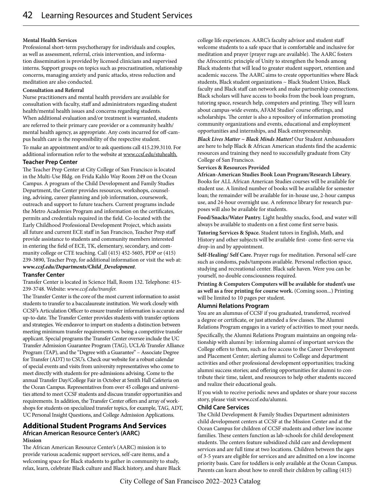#### **Mental Health Services**

Professional short-term psychotherapy for individuals and couples, as well as assessment, referral, crisis intervention, and information dissemination is provided by licensed clinicians and supervised interns. Support groups on topics such as procrastination, relationship concerns, managing anxiety and panic attacks, stress reduction and meditation are also conducted.

#### **Consultation and Referral**

Nurse practitioners and mental health providers are available for consultation with faculty, staff and administrators regarding student health/mental health issues and concerns regarding students. When additional evaluation and/or treatment is warranted, students are referred to their primary care provider or a community health/ mental health agency, as appropriate. Any costs incurred for off-campus health care is the responsibility of the respective student.

To make an appointment and/or to ask questions call 415.239.3110. For additional information refer to the website at www.ccsf.edu/stuhealth.

#### **Teacher Prep Center**

The Teacher Prep Center at City College of San Francisco is located in the Multi-Use Bldg. on Frida Kahlo Way Room 249 on the Ocean Campus. A program of the Child Development and Family Studies Department, the Center provides resources, workshops, counseling, advising, career planning and job information, coursework, outreach and support to future teachers. Current programs include the Metro Academies Program and information on the certificates, permits and credentials required in the field. Co-located with the Early Childhood Professional Development Project, which assists all future and current ECE staff in San Francisco, Teacher Prep staff provide assistance to students and community members interested in entering the field of ECE, TK, elementary, secondary, and community college or CTE teaching. Call (415) 452-5605, PDP or (415) 239-3890, Teacher Prep, for additional information or visit the web at: *www.ccsf.edu/Departments/Child\_Development*.

## **Transfer Center**

Transfer Center is located in Science Hall, Room 132. Telephone: 415- 239-3748. Website: *www.ccsf.edu/transfer.*

The Transfer Center is the core of the most current information to assist students to transfer to a baccalaureate institution. We work closely with CCSF's Articulation Officer to ensure transfer information is accurate and up-to-date. The Transfer Center provides students with transfer options and strategies. We endeavor to impart on students a distinction between meeting minimum transfer requirements vs. being a competitive transfer applicant. Special programs the Transfer Center oversee include the UC Transfer Admission Guarantee Program (TAG), UCLA's Transfer Alliance Program (TAP), and the "Degree with a Guarantee" – Associate Degree for Transfer (ADT) to CSU's. Check our website for a robust calendar of special events and visits from university representatives who come to meet directly with students for pre-admissions advising. Come to the annual Transfer Day/College Fair in October at Smith Hall Cafeteria on the Ocean Campus. Representatives from over 45 colleges and universities attend to meet CCSF students and discuss transfer opportunities and requirements. In addition, the Transfer Center offers and array of workshops for students on specialized transfer topics, for example, TAG, ADT, UC Personal Insight Questions, and College Admission Applications.

## **Additional Student Programs And Services African American Resource Center's (AARC) Mission**

The African American Resource Center's (AARC) mission is to provide various academic support services, self-care items, and a welcoming space for Black students to gather in community to study, relax, learn, celebrate Black culture and Black history, and share Black college life experiences. AARC's faculty advisor and student staff welcome students to a safe space that is comfortable and inclusive for meditation and prayer (prayer rugs are available). The AARC fosters the Afrocentric principle of Unity to strengthen the bonds among Black students that will lead to greater student support, retention and academic success. The AARC aims to create opportunities where Black students, Black student organizations ~ Black Student Union, Black faculty and Black staff can network and make partnership connections. Black scholars will have access to books from the book loan program, tutoring space, research help, computers and printing. They will learn about campus-wide events, AFAM Studies' course offerings, and scholarships. The center is also a repository of information promoting community organizations and events, educational and employment opportunities and internships, and Black entrepreneurship.

*Black Lives Matter ~ Black Minds Matter!* Our Student Ambassadors are here to help Black & African American students find the academic resources and training they need to successfully graduate from City College of San Francisco.

## **Services & Resources Provided**

**African-American Studies Book Loan Program/Research Library.**  Books for ALL African American Studies courses will be available for student use. A limited number of books will be available for semester loan; the remainder will be available for in-house use, 2-hour campus use, and 24-hour overnight use. A reference library for research purposes will also be available for students.

**Food/Snacks/Water Pantry.** Light healthy snacks, food, and water will always be available to students on a first come first serve basis.

**Tutoring Services & Space.** Student tutors in English, Math, and History and other subjects will be available first- come-first-serve via drop-in and by appointment.

**Self-Healing/ Self Care.** Prayer rugs for meditation. Personal self-care such as condoms, pads/tampons available. Personal reflection space, studying and recreational center. Black safe haven. Were you can be yourself, no double consciousness required.

**Printing & Computers Computers will be available for student's use as well as a free printing for course work.** (Coming soon...) Printing will be limited to 10 pages per student.

## **Alumni Relations Program**

You are an alumnus of CCSF if you graduated, transferred, received a degree or certificate, or just attended a few classes. The Alumni Relations Program engages in a variety of activities to meet your needs. Specifically, the Alumni Relations Program maintains an ongoing relationship with alumni by: informing alumni of important services the College offers to them, such as free access to the Career Development and Placement Center; alerting alumni to College and department activities and other professional development opportunities; tracking alumni success stories; and offering opportunities for alumni to contribute their time, talent, and resources to help other students succeed and realize their educational goals.

If you wish to receive periodic news and updates or share your success story, please visit www.ccsf.edu/alumni.

## **Child Care Services**

The Child Development & Family Studies Department administers child development centers at CCSF at the Mission Center and at the Ocean Campus for children of CCSF students and other low income families. These centers function as lab-schools for child development students. The centers feature subsidized child care and development services and are full time at two locations. Children between the ages of 3-5 years are eligible for services and are admitted on a low income priority basis. Care for toddlers is only available at the Ocean Campus. Parents can learn about how to enroll their children by calling (415)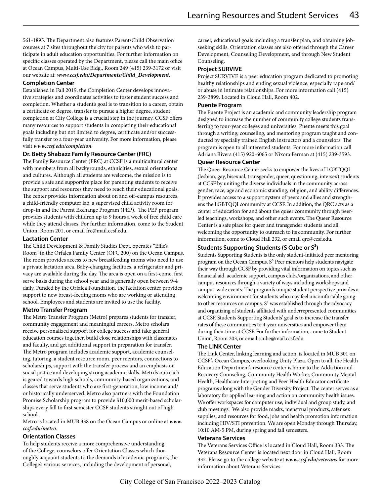561-1895. The Department also features Parent/Child Observation courses at 7 sites throughout the city for parents who wish to participate in adult education opportunities. For further information on specific classes operated by the Department, please call the main office at Ocean Campus, Multi-Use Bldg., Room 249 (415) 239-3172 or visit our website at: *www.ccsf.edu/Departments/Child\_Development*.

## **Completion Center**

Established in Fall 2019, the Completion Center develops innovative strategies and coordinates activities to foster student success and completion. Whether a student's goal is to transition to a career, obtain a certificate or degree, transfer to pursue a higher degree, student completion at City College is a crucial step in the journey. CCSF offers many resources to support students in completing their educational goals including but not limited to degree, certificate and/or successfully transfer to a four-year university. For more information, please visit *www.ccsf.edu/completion*.

## **Dr. Betty Shabazz Family Resource Center (FRC)**

The Family Resource Center (FRC) at CCSF is a multicultural center with members from all backgrounds, ethnicities, sexual orientations and cultures. Although all students are welcome, the mission is to provide a safe and supportive place for parenting students to receive the support and resources they need to reach their educational goals. The center provides information about on and off-campus resources, a child-friendly computer lab, a supervised child activity room for drop-in and the Parent Exchange Program (PEP). The PEP program provides students with children up to 9 hours a week of free child care while they attend classes. For further information, come to the Student Union, Room 201, or email frc@mail.ccsf.edu.

## **Lactation Center**

The Child Development & Family Studies Dept. operates "Effie's Room" in the Orfalea Family Center (OFC 200) on the Ocean Campus. The room provides access to new breastfeeding moms who need to use a private lactation area. Baby-changing facilities, a refrigerator and privacy are available during the day. The area is open on a first-come, first serve basis during the school year and is generally open between 9-4 daily. Funded by the Orfalea Foundation, the lactation center provides support to new breast-feeding moms who are working or attending school. Employees and students are invited to use the facility.

## **Metro Transfer Program**

The Metro Transfer Program (Metro) prepares students for transfer, community engagement and meaningful careers. Metro scholars receive personalized support for college success and take general education courses together, build close relationships with classmates and faculty, and get additional support in preparation for transfer. The Metro program includes academic support, academic counseling, tutoring, a student resource room, peer mentors, connections to scholarships, support with the transfer process and an emphasis on social justice and developing strong academic skills. Metro's outreach is geared towards high schools, community-based organizations, and classes that serve students who are first-generation, low income and/ or historically underserved. Metro also partners with the Foundation Promise Scholarship program to provide \$10,000 merit-based scholarships every fall to first semester CCSF students straight out of high school.

Metro is located in MUB 338 on the Ocean Campus or online at *www. ccsf.edu/metro*.

## **Orientation Classes**

To help students receive a more comprehensive understanding of the College, counselors offer Orientation Classes which thoroughly acquaint students to the demands of academic programs, the College's various services, including the development of personal,

career, educational goals including a transfer plan, and obtaining jobseeking skills. Orientation classes are also offered through the Career Development, Counseling Development, and through New Student Counseling.

## **Project SURVIVE**

Project SURVIVE is a peer education program dedicated to promoting healthy relationships and ending sexual violence, especially rape and/ or abuse in intimate relationships. For more information call (415) 239-3899. Located in Cloud Hall, Room 402.

## **Puente Program**

The Puente Project is an academic and community leadership program designed to increase the number of community college students transferring to four-year colleges and universities. Puente meets this goal through a writing, counseling, and mentoring program taught and conducted by specially trained English instructors and a counselors. The program is open to all interested students. For more information call Adriana Rivera (415) 920-6065 or Nixora Ferman at (415) 239-3593.

## **Queer Resource Center**

The Queer Resource Center seeks to empower the lives of LGBTQQI (lesbian, gay, bisexual, transgender, queer, questioning, intersex) students at CCSF by uniting the diverse individuals in the community across gender, race, age and economic standing, religion, and ability differences. It provides access to a support system of peers and allies and strengthens the LGBTQQI community at CCSF. In addition, the QRC acts as a center of education for and about the queer community through peerled teachings, workshops, and other such events. The Queer Resource Center is a safe place for queer and transgender students and all, welcoming the opportunity to outreach to its community. For further information, come to Cloud Hall 232, or email qrc@ccsf.edu.

## **Students Supporting Students (S Cube or S3)**

Students Supporting Students is the only student-initiated peer mentoring program on the Ocean Campus.  $S<sup>3</sup>$  Peer mentors help students navigate their way through CCSF by providing vital information on topics such as financial aid, academic support, campus clubs/organizations, and other campus resources through a variety of ways including workshops and campus-wide events. The program's unique student perspective provides a welcoming environment for students who may feel uncomfortable going to other resources on campus.  $S<sup>3</sup>$  was established through the advocacy and organizing of students affiliated with underrepresented communities at CCSF. Students Supporting Students' goal is to increase the transfer rates of these communities to 4-year universities and empower them during their time at CCSF. For further information, come to Student Union, Room 203, or email scube@mail.ccsf.edu.

## **The LINK Center**

The Link Center, linking learning and action, is located in MUB 301 on CCSF's Ocean Campus, overlooking Unity Plaza. Open to all, the Health Education Department's resource center is home to the Addiction and Recovery Counseling, Community Health Worker, Community Mental Health, Healthcare Interpreting and Peer Health Educator certificate programs along with the Gender Diversity Project. The center serves as a laboratory for applied learning and action on community health issues. We offer workspaces for computer use, individual and group study, and club meetings. We also provide masks, menstrual products, safer sex supplies, and resources for food, jobs and health promotion information including HIV/STI prevention. We are open Monday through Thursday, 10:10 AM-5 PM, during spring and fall semesters.

## **Veterans Services**

The Veterans Services Office is located in Cloud Hall, Room 333. The Veterans Resource Center is located next door in Cloud Hall, Room 332. Please go to the college website at *www.ccsf.edu/veterans* for more information about Veterans Services.